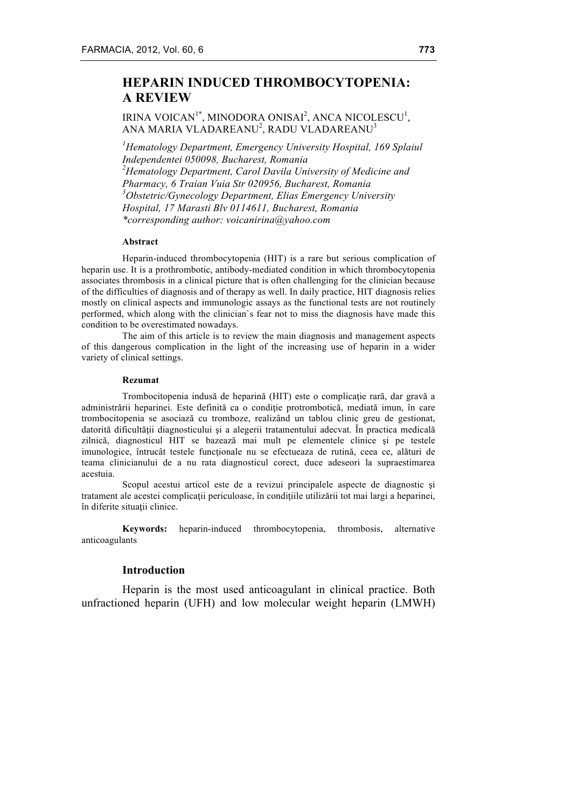# **HEPARIN INDUCED THROMBOCYTOPENIA: A REVIEW**

## IRINA VOICAN<sup>1\*</sup>, MINODORA ONISAI<sup>2</sup>, ANCA NICOLESCU<sup>1</sup>, ANA MARIA VLADAREANU $^2$ , RADU VLADAREANU $^3$

*1 Hematology Department, Emergency University Hospital, 169 Splaiul Independentei 050098, Bucharest, Romania 2 Hematology Department, Carol Davila University of Medicine and Pharmacy, 6 Traian Vuia Str 020956, Bucharest, Romania 3 Obstetric/Gynecology Department, Elias Emergency University Hospital, 17 Marasti Blv 0114611, Bucharest, Romania \*corresponding author: voicanirina@yahoo.com*

#### **Abstract**

Heparin-induced thrombocytopenia (HIT) is a rare but serious complication of heparin use. It is a prothrombotic, antibody-mediated condition in which thrombocytopenia associates thrombosis in a clinical picture that is often challenging for the clinician because of the difficulties of diagnosis and of therapy as well. In daily practice, HIT diagnosis relies mostly on clinical aspects and immunologic assays as the functional tests are not routinely performed, which along with the clinician`s fear not to miss the diagnosis have made this condition to be overestimated nowadays.

The aim of this article is to review the main diagnosis and management aspects of this dangerous complication in the light of the increasing use of heparin in a wider variety of clinical settings.

#### **Rezumat**

Trombocitopenia indusă de heparină (HIT) este o complicație rară, dar gravă a administrării heparinei. Este definită ca o condiție protrombotică, mediată imun, în care trombocitopenia se asociază cu tromboze, realizând un tablou clinic greu de gestionat, datorită dificultății diagnosticului și a alegerii tratamentului adecvat. În practica medicală zilnică, diagnosticul HIT se bazează mai mult pe elementele clinice şi pe testele imunologice, întrucât testele funcţionale nu se efectueaza de rutină, ceea ce, alături de teama clinicianului de a nu rata diagnosticul corect, duce adeseori la supraestimarea acestuia.

Scopul acestui articol este de a revizui principalele aspecte de diagnostic şi tratament ale acestei complicatii periculoase, în conditiile utilizării tot mai largi a heparinei, în diferite situaţii clinice.

**Keywords:** heparin-induced thrombocytopenia, thrombosis, alternative anticoagulants

#### **Introduction**

Heparin is the most used anticoagulant in clinical practice. Both unfractioned heparin (UFH) and low molecular weight heparin (LMWH)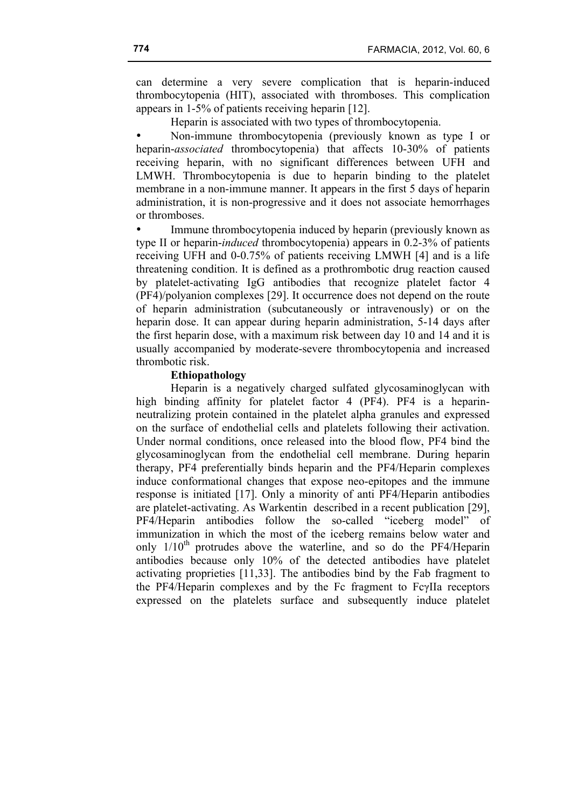can determine a very severe complication that is heparin-induced thrombocytopenia (HIT), associated with thromboses. This complication appears in 1-5% of patients receiving heparin [12].

Heparin is associated with two types of thrombocytopenia.

• Non-immune thrombocytopenia (previously known as type I or heparin-*associated* thrombocytopenia) that affects 10-30% of patients receiving heparin, with no significant differences between UFH and LMWH. Thrombocytopenia is due to heparin binding to the platelet membrane in a non-immune manner. It appears in the first 5 days of heparin administration, it is non-progressive and it does not associate hemorrhages or thromboses.

Immune thrombocytopenia induced by heparin (previously known as type II or heparin-*induced* thrombocytopenia) appears in 0.2-3% of patients receiving UFH and 0-0.75% of patients receiving LMWH [4] and is a life threatening condition. It is defined as a prothrombotic drug reaction caused by platelet-activating IgG antibodies that recognize platelet factor 4 (PF4)/polyanion complexes [29]. It occurrence does not depend on the route of heparin administration (subcutaneously or intravenously) or on the heparin dose. It can appear during heparin administration, 5-14 days after the first heparin dose, with a maximum risk between day 10 and 14 and it is usually accompanied by moderate-severe thrombocytopenia and increased thrombotic risk.

### **Ethiopathology**

Heparin is a negatively charged sulfated glycosaminoglycan with high binding affinity for platelet factor 4 (PF4). PF4 is a heparinneutralizing protein contained in the platelet alpha granules and expressed on the surface of endothelial cells and platelets following their activation. Under normal conditions, once released into the blood flow, PF4 bind the glycosaminoglycan from the endothelial cell membrane. During heparin therapy, PF4 preferentially binds heparin and the PF4/Heparin complexes induce conformational changes that expose neo-epitopes and the immune response is initiated [17]. Only a minority of anti PF4/Heparin antibodies are platelet-activating. As Warkentin described in a recent publication [29], PF4/Heparin antibodies follow the so-called "iceberg model" of immunization in which the most of the iceberg remains below water and only  $1/10<sup>th</sup>$  protrudes above the waterline, and so do the PF4/Heparin antibodies because only 10% of the detected antibodies have platelet activating proprieties [11,33]. The antibodies bind by the Fab fragment to the PF4/Heparin complexes and by the Fc fragment to FcγIIa receptors expressed on the platelets surface and subsequently induce platelet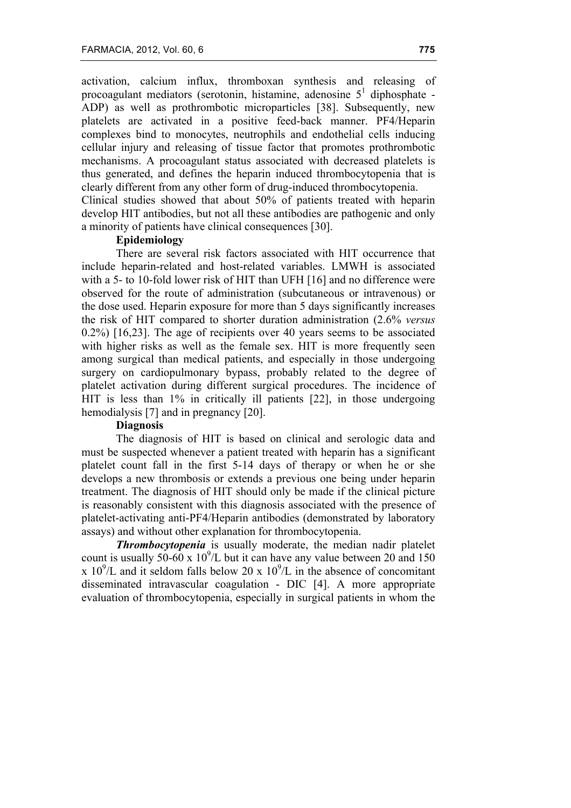activation, calcium influx, thromboxan synthesis and releasing of procoagulant mediators (serotonin, histamine, adenosine  $5<sup>1</sup>$  diphosphate -ADP) as well as prothrombotic microparticles [38]. Subsequently, new platelets are activated in a positive feed-back manner. PF4/Heparin complexes bind to monocytes, neutrophils and endothelial cells inducing cellular injury and releasing of tissue factor that promotes prothrombotic mechanisms. A procoagulant status associated with decreased platelets is thus generated, and defines the heparin induced thrombocytopenia that is clearly different from any other form of drug-induced thrombocytopenia.

Clinical studies showed that about 50% of patients treated with heparin develop HIT antibodies, but not all these antibodies are pathogenic and only a minority of patients have clinical consequences [30].

## **Epidemiology**

There are several risk factors associated with HIT occurrence that include heparin-related and host-related variables. LMWH is associated with a 5- to 10-fold lower risk of HIT than UFH [16] and no difference were observed for the route of administration (subcutaneous or intravenous) or the dose used. Heparin exposure for more than 5 days significantly increases the risk of HIT compared to shorter duration administration (2.6% *versus* 0.2%) [16,23]. The age of recipients over 40 years seems to be associated with higher risks as well as the female sex. HIT is more frequently seen among surgical than medical patients, and especially in those undergoing surgery on cardiopulmonary bypass, probably related to the degree of platelet activation during different surgical procedures. The incidence of HIT is less than 1% in critically ill patients [22], in those undergoing hemodialysis [7] and in pregnancy [20].

#### **Diagnosis**

The diagnosis of HIT is based on clinical and serologic data and must be suspected whenever a patient treated with heparin has a significant platelet count fall in the first 5-14 days of therapy or when he or she develops a new thrombosis or extends a previous one being under heparin treatment. The diagnosis of HIT should only be made if the clinical picture is reasonably consistent with this diagnosis associated with the presence of platelet-activating anti-PF4/Heparin antibodies (demonstrated by laboratory assays) and without other explanation for thrombocytopenia.

*Thrombocytopenia* is usually moderate, the median nadir platelet count is usually 50-60 x  $10^9$ /L but it can have any value between 20 and 150 x  $10^{9}/L$  and it seldom falls below 20 x  $10^{9}/L$  in the absence of concomitant disseminated intravascular coagulation - DIC [4]. A more appropriate evaluation of thrombocytopenia, especially in surgical patients in whom the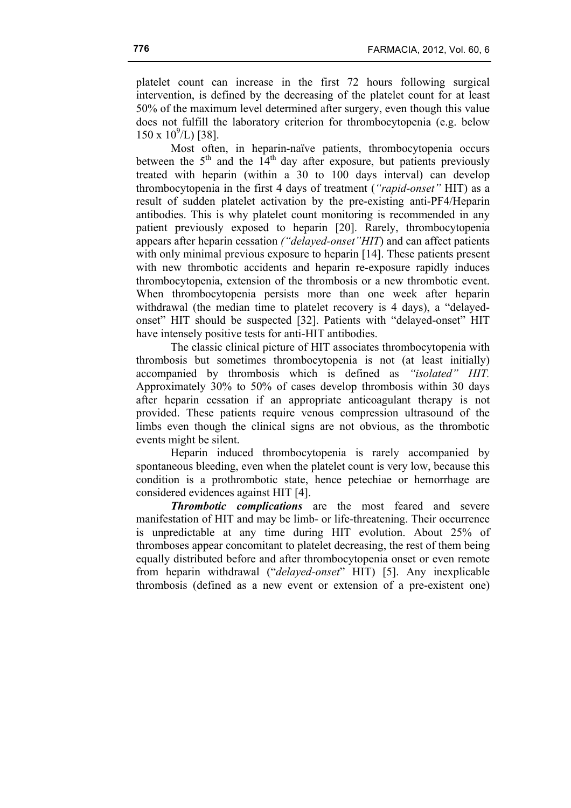platelet count can increase in the first 72 hours following surgical intervention, is defined by the decreasing of the platelet count for at least 50% of the maximum level determined after surgery, even though this value does not fulfill the laboratory criterion for thrombocytopenia (e.g. below  $150 \times 10^9$ /L) [38].

Most often, in heparin-naïve patients, thrombocytopenia occurs between the  $5<sup>th</sup>$  and the  $14<sup>th</sup>$  day after exposure, but patients previously treated with heparin (within a 30 to 100 days interval) can develop thrombocytopenia in the first 4 days of treatment (*"rapid-onset"* HIT) as a result of sudden platelet activation by the pre-existing anti-PF4/Heparin antibodies. This is why platelet count monitoring is recommended in any patient previously exposed to heparin [20]. Rarely, thrombocytopenia appears after heparin cessation *("delayed-onset"HIT*) and can affect patients with only minimal previous exposure to heparin [14]. These patients present with new thrombotic accidents and heparin re-exposure rapidly induces thrombocytopenia, extension of the thrombosis or a new thrombotic event. When thrombocytopenia persists more than one week after heparin withdrawal (the median time to platelet recovery is 4 days), a "delayedonset" HIT should be suspected [32]. Patients with "delayed-onset" HIT have intensely positive tests for anti-HIT antibodies.

The classic clinical picture of HIT associates thrombocytopenia with thrombosis but sometimes thrombocytopenia is not (at least initially) accompanied by thrombosis which is defined as *"isolated" HIT.* Approximately 30% to 50% of cases develop thrombosis within 30 days after heparin cessation if an appropriate anticoagulant therapy is not provided. These patients require venous compression ultrasound of the limbs even though the clinical signs are not obvious, as the thrombotic events might be silent.

Heparin induced thrombocytopenia is rarely accompanied by spontaneous bleeding, even when the platelet count is very low, because this condition is a prothrombotic state, hence petechiae or hemorrhage are considered evidences against HIT [4].

*Thrombotic complications* are the most feared and severe manifestation of HIT and may be limb- or life-threatening. Their occurrence is unpredictable at any time during HIT evolution. About 25% of thromboses appear concomitant to platelet decreasing, the rest of them being equally distributed before and after thrombocytopenia onset or even remote from heparin withdrawal ("*delayed-onset*" HIT) [5]. Any inexplicable thrombosis (defined as a new event or extension of a pre-existent one)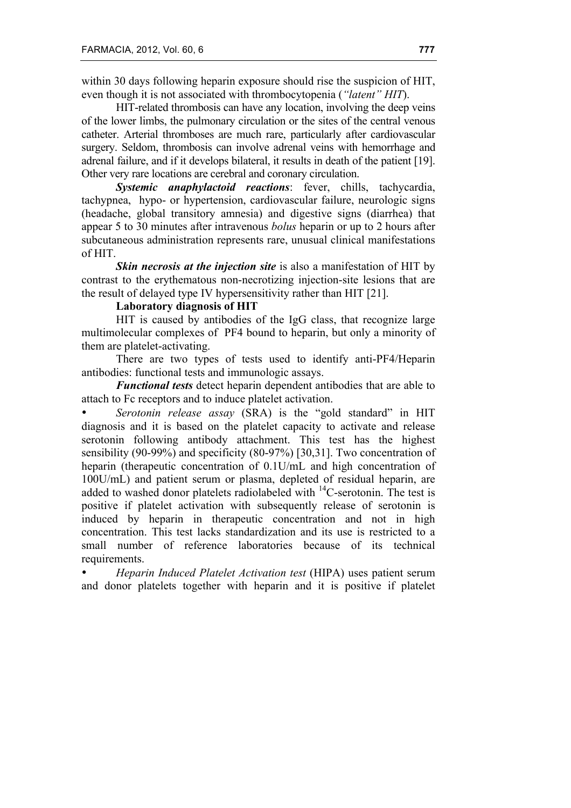within 30 days following heparin exposure should rise the suspicion of HIT, even though it is not associated with thrombocytopenia (*"latent" HIT*).

HIT-related thrombosis can have any location, involving the deep veins of the lower limbs, the pulmonary circulation or the sites of the central venous catheter. Arterial thromboses are much rare, particularly after cardiovascular surgery. Seldom, thrombosis can involve adrenal veins with hemorrhage and adrenal failure, and if it develops bilateral, it results in death of the patient [19]. Other very rare locations are cerebral and coronary circulation.

*Systemic anaphylactoid reactions*: fever, chills, tachycardia, tachypnea, hypo- or hypertension, cardiovascular failure, neurologic signs (headache, global transitory amnesia) and digestive signs (diarrhea) that appear 5 to 30 minutes after intravenous *bolus* heparin or up to 2 hours after subcutaneous administration represents rare, unusual clinical manifestations of HIT.

*Skin necrosis at the injection site* is also a manifestation of HIT by contrast to the erythematous non-necrotizing injection-site lesions that are the result of delayed type IV hypersensitivity rather than HIT [21].

### **Laboratory diagnosis of HIT**

HIT is caused by antibodies of the IgG class, that recognize large multimolecular complexes of PF4 bound to heparin, but only a minority of them are platelet-activating.

There are two types of tests used to identify anti-PF4/Heparin antibodies: functional tests and immunologic assays.

*Functional tests* detect heparin dependent antibodies that are able to attach to Fc receptors and to induce platelet activation.

• *Serotonin release assay* (SRA) is the "gold standard" in HIT diagnosis and it is based on the platelet capacity to activate and release serotonin following antibody attachment. This test has the highest sensibility (90-99%) and specificity (80-97%) [30,31]. Two concentration of heparin (therapeutic concentration of 0.1U/mL and high concentration of 100U/mL) and patient serum or plasma, depleted of residual heparin, are added to washed donor platelets radiolabeled with  $^{14}$ C-serotonin. The test is positive if platelet activation with subsequently release of serotonin is induced by heparin in therapeutic concentration and not in high concentration. This test lacks standardization and its use is restricted to a small number of reference laboratories because of its technical requirements.

• *Heparin Induced Platelet Activation test* (HIPA) uses patient serum and donor platelets together with heparin and it is positive if platelet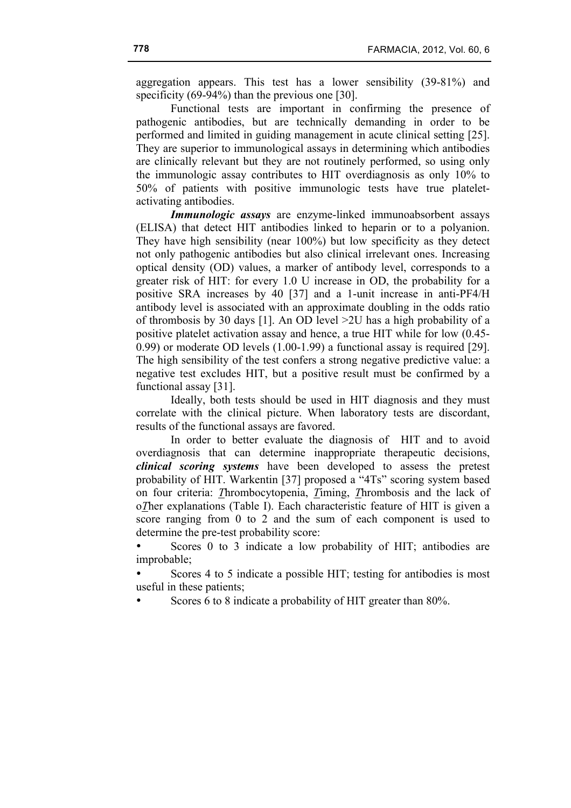aggregation appears. This test has a lower sensibility (39-81%) and specificity (69-94%) than the previous one [30].

Functional tests are important in confirming the presence of pathogenic antibodies, but are technically demanding in order to be performed and limited in guiding management in acute clinical setting [25]. They are superior to immunological assays in determining which antibodies are clinically relevant but they are not routinely performed, so using only the immunologic assay contributes to HIT overdiagnosis as only 10% to 50% of patients with positive immunologic tests have true plateletactivating antibodies.

*Immunologic assays* are enzyme-linked immunoabsorbent assays (ELISA) that detect HIT antibodies linked to heparin or to a polyanion. They have high sensibility (near 100%) but low specificity as they detect not only pathogenic antibodies but also clinical irrelevant ones. Increasing optical density (OD) values, a marker of antibody level, corresponds to a greater risk of HIT: for every 1.0 U increase in OD, the probability for a positive SRA increases by 40 [37] and a 1-unit increase in anti-PF4/H antibody level is associated with an approximate doubling in the odds ratio of thrombosis by 30 days [1]. An OD level >2U has a high probability of a positive platelet activation assay and hence, a true HIT while for low (0.45- 0.99) or moderate OD levels (1.00-1.99) a functional assay is required [29]. The high sensibility of the test confers a strong negative predictive value: a negative test excludes HIT, but a positive result must be confirmed by a functional assay [31].

Ideally, both tests should be used in HIT diagnosis and they must correlate with the clinical picture. When laboratory tests are discordant, results of the functional assays are favored.

In order to better evaluate the diagnosis of HIT and to avoid overdiagnosis that can determine inappropriate therapeutic decisions, *clinical scoring systems* have been developed to assess the pretest probability of HIT. Warkentin [37] proposed a "4Ts" scoring system based on four criteria: *T*hrombocytopenia, *T*iming, *T*hrombosis and the lack of o*T*her explanations (Table I). Each characteristic feature of HIT is given a score ranging from 0 to 2 and the sum of each component is used to determine the pre-test probability score:

Scores 0 to 3 indicate a low probability of HIT; antibodies are improbable;

Scores 4 to 5 indicate a possible HIT; testing for antibodies is most useful in these patients;

• Scores 6 to 8 indicate a probability of HIT greater than 80%.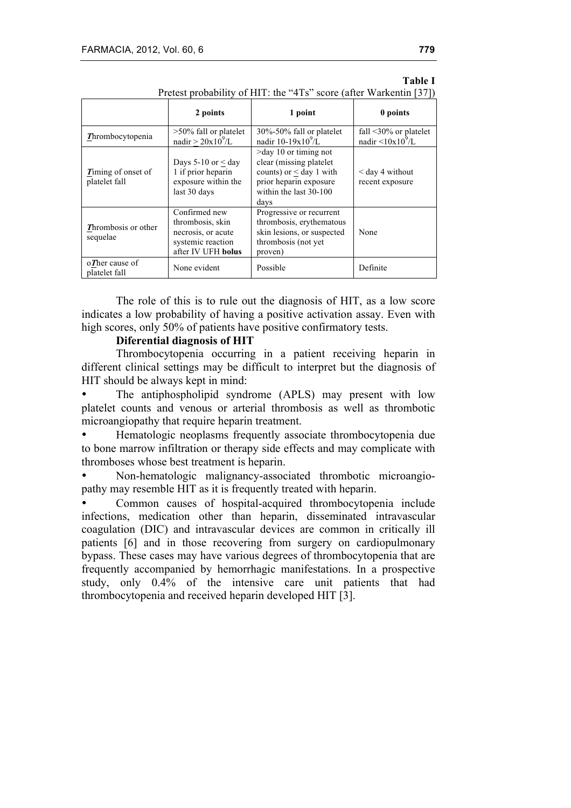| There is the computation of $\frac{1}{2}$ in the section of $\frac{1}{2}$ |                                                                                                    |                                                                                                                                                  |                                                                   |
|---------------------------------------------------------------------------|----------------------------------------------------------------------------------------------------|--------------------------------------------------------------------------------------------------------------------------------------------------|-------------------------------------------------------------------|
|                                                                           | 2 points                                                                                           | 1 point                                                                                                                                          | 0 points                                                          |
| Thrombocytopenia                                                          | $>50\%$ fall or platelet<br>nadir $> 20x10^9/L$                                                    | 30%-50% fall or platelet<br>nadir $10-19x10^9/L$                                                                                                 | fall $\leq 30\%$ or platelet<br>nadir $\langle 10x10^9/L \rangle$ |
| Timing of onset of<br>platelet fall                                       | Days 5-10 or $<$ day<br>1 if prior heparin<br>exposure within the<br>last 30 days                  | $>$ day 10 or timing not<br>clear (missing platelet)<br>counts) or $\leq$ day 1 with<br>prior heparin exposure<br>within the last 30-100<br>days | $<$ day 4 without<br>recent exposure                              |
| Thrombosis or other<br>sequelae                                           | Confirmed new<br>thrombosis, skin<br>necrosis, or acute<br>systemic reaction<br>after IV UFH bolus | Progressive or recurrent<br>thrombosis, erythematous<br>skin lesions, or suspected<br>thrombosis (not yet)<br>proven)                            | None                                                              |
| $\sigma$ Ther cause of<br>platelet fall                                   | None evident                                                                                       | Possible                                                                                                                                         | Definite                                                          |

### **Table I** Pretest probability of HIT: the "4Ts" score (after Warkentin [37])

The role of this is to rule out the diagnosis of HIT, as a low score indicates a low probability of having a positive activation assay. Even with high scores, only 50% of patients have positive confirmatory tests.

## **Diferential diagnosis of HIT**

Thrombocytopenia occurring in a patient receiving heparin in different clinical settings may be difficult to interpret but the diagnosis of HIT should be always kept in mind:

• The antiphospholipid syndrome (APLS) may present with low platelet counts and venous or arterial thrombosis as well as thrombotic microangiopathy that require heparin treatment.

• Hematologic neoplasms frequently associate thrombocytopenia due to bone marrow infiltration or therapy side effects and may complicate with thromboses whose best treatment is heparin.

• Non-hematologic malignancy-associated thrombotic microangiopathy may resemble HIT as it is frequently treated with heparin.

• Common causes of hospital-acquired thrombocytopenia include infections, medication other than heparin, disseminated intravascular coagulation (DIC) and intravascular devices are common in critically ill patients [6] and in those recovering from surgery on cardiopulmonary bypass. These cases may have various degrees of thrombocytopenia that are frequently accompanied by hemorrhagic manifestations. In a prospective study, only 0.4% of the intensive care unit patients that had thrombocytopenia and received heparin developed HIT [3].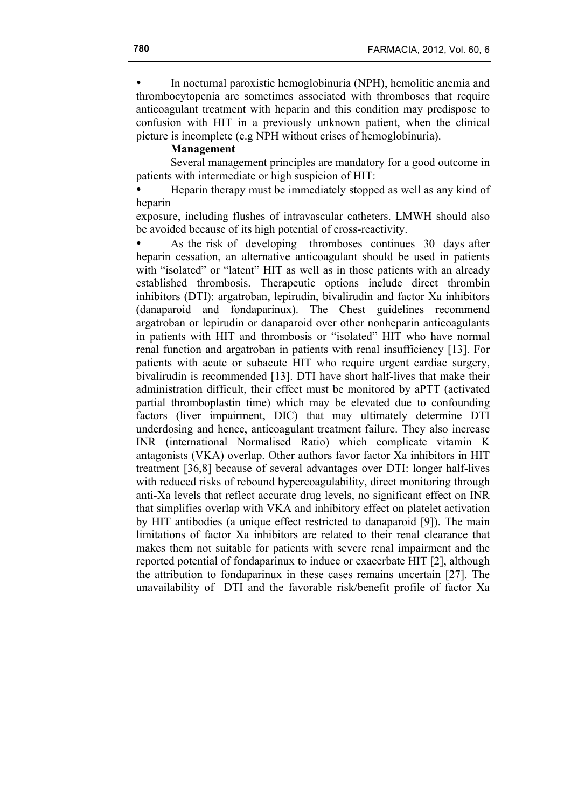• In nocturnal paroxistic hemoglobinuria (NPH), hemolitic anemia and thrombocytopenia are sometimes associated with thromboses that require anticoagulant treatment with heparin and this condition may predispose to confusion with HIT in a previously unknown patient, when the clinical picture is incomplete (e.g NPH without crises of hemoglobinuria).

## **Management**

Several management principles are mandatory for a good outcome in patients with intermediate or high suspicion of HIT:

• Heparin therapy must be immediately stopped as well as any kind of heparin

exposure, including flushes of intravascular catheters. LMWH should also be avoided because of its high potential of cross-reactivity.

• As the risk of developing thromboses continues 30 days after heparin cessation, an alternative anticoagulant should be used in patients with "isolated" or "latent" HIT as well as in those patients with an already established thrombosis. Therapeutic options include direct thrombin inhibitors (DTI): argatroban, lepirudin, bivalirudin and factor Xa inhibitors (danaparoid and fondaparinux). The Chest guidelines recommend argatroban or lepirudin or danaparoid over other nonheparin anticoagulants in patients with HIT and thrombosis or "isolated" HIT who have normal renal function and argatroban in patients with renal insufficiency [13]. For patients with acute or subacute HIT who require urgent cardiac surgery, bivalirudin is recommended [13]. DTI have short half-lives that make their administration difficult, their effect must be monitored by aPTT (activated partial thromboplastin time) which may be elevated due to confounding factors (liver impairment, DIC) that may ultimately determine DTI underdosing and hence, anticoagulant treatment failure. They also increase INR (international Normalised Ratio) which complicate vitamin K antagonists (VKA) overlap. Other authors favor factor Xa inhibitors in HIT treatment [36,8] because of several advantages over DTI: longer half-lives with reduced risks of rebound hypercoagulability, direct monitoring through anti-Xa levels that reflect accurate drug levels, no significant effect on INR that simplifies overlap with VKA and inhibitory effect on platelet activation by HIT antibodies (a unique effect restricted to danaparoid [9]). The main limitations of factor Xa inhibitors are related to their renal clearance that makes them not suitable for patients with severe renal impairment and the reported potential of fondaparinux to induce or exacerbate HIT [2], although the attribution to fondaparinux in these cases remains uncertain [27]. The unavailability of DTI and the favorable risk/benefit profile of factor Xa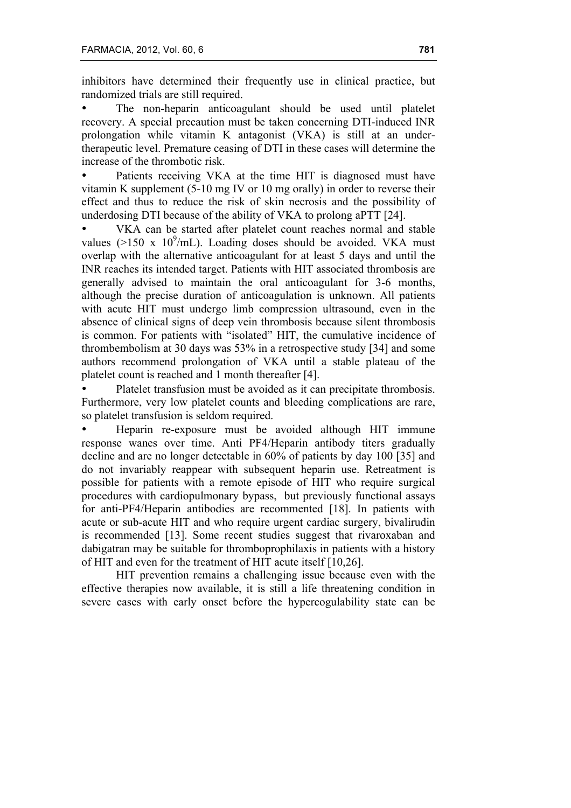inhibitors have determined their frequently use in clinical practice, but randomized trials are still required.

The non-heparin anticoagulant should be used until platelet recovery. A special precaution must be taken concerning DTI-induced INR prolongation while vitamin K antagonist (VKA) is still at an undertherapeutic level. Premature ceasing of DTI in these cases will determine the increase of the thrombotic risk.

Patients receiving VKA at the time HIT is diagnosed must have vitamin K supplement (5-10 mg IV or 10 mg orally) in order to reverse their effect and thus to reduce the risk of skin necrosis and the possibility of underdosing DTI because of the ability of VKA to prolong aPTT [24].

VKA can be started after platelet count reaches normal and stable values ( $>150$  x  $10^9$ /mL). Loading doses should be avoided. VKA must overlap with the alternative anticoagulant for at least 5 days and until the INR reaches its intended target. Patients with HIT associated thrombosis are generally advised to maintain the oral anticoagulant for 3-6 months, although the precise duration of anticoagulation is unknown. All patients with acute HIT must undergo limb compression ultrasound, even in the absence of clinical signs of deep vein thrombosis because silent thrombosis is common. For patients with "isolated" HIT, the cumulative incidence of thrombembolism at 30 days was 53% in a retrospective study [34] and some authors recommend prolongation of VKA until a stable plateau of the platelet count is reached and 1 month thereafter [4].

• Platelet transfusion must be avoided as it can precipitate thrombosis. Furthermore, very low platelet counts and bleeding complications are rare, so platelet transfusion is seldom required.

• Heparin re-exposure must be avoided although HIT immune response wanes over time. Anti PF4/Heparin antibody titers gradually decline and are no longer detectable in 60% of patients by day 100 [35] and do not invariably reappear with subsequent heparin use. Retreatment is possible for patients with a remote episode of HIT who require surgical procedures with cardiopulmonary bypass, but previously functional assays for anti-PF4/Heparin antibodies are recommented [18]. In patients with acute or sub-acute HIT and who require urgent cardiac surgery, bivalirudin is recommended [13]. Some recent studies suggest that rivaroxaban and dabigatran may be suitable for thromboprophilaxis in patients with a history of HIT and even for the treatment of HIT acute itself [10,26].

HIT prevention remains a challenging issue because even with the effective therapies now available, it is still a life threatening condition in severe cases with early onset before the hypercogulability state can be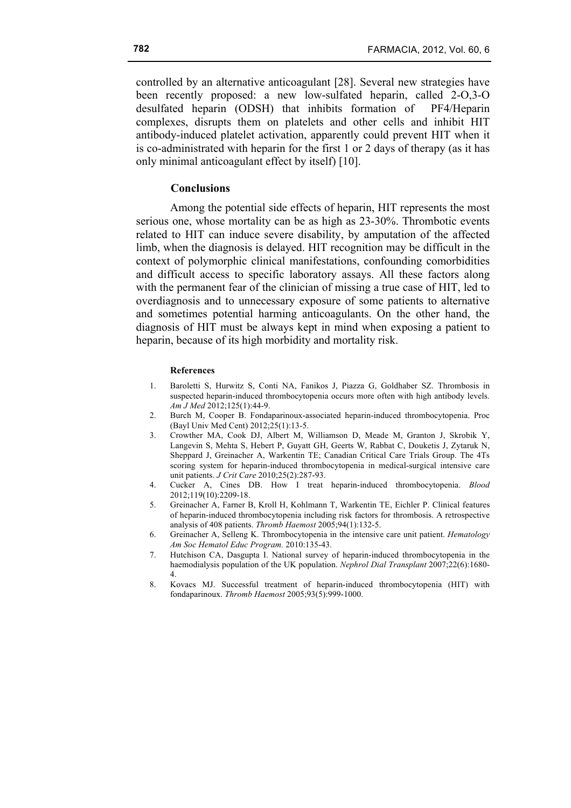controlled by an alternative anticoagulant [28]. Several new strategies have been recently proposed: a new low-sulfated heparin, called 2-O,3-O desulfated heparin (ODSH) that inhibits formation of PF4/Heparin complexes, disrupts them on platelets and other cells and inhibit HIT antibody-induced platelet activation, apparently could prevent HIT when it is co-administrated with heparin for the first 1 or 2 days of therapy (as it has only minimal anticoagulant effect by itself) [10].

### **Conclusions**

Among the potential side effects of heparin, HIT represents the most serious one, whose mortality can be as high as 23-30%. Thrombotic events related to HIT can induce severe disability, by amputation of the affected limb, when the diagnosis is delayed. HIT recognition may be difficult in the context of polymorphic clinical manifestations, confounding comorbidities and difficult access to specific laboratory assays. All these factors along with the permanent fear of the clinician of missing a true case of HIT, led to overdiagnosis and to unnecessary exposure of some patients to alternative and sometimes potential harming anticoagulants. On the other hand, the diagnosis of HIT must be always kept in mind when exposing a patient to heparin, because of its high morbidity and mortality risk.

#### **References**

- 1. Baroletti S, Hurwitz S, Conti NA, Fanikos J, Piazza G, Goldhaber SZ. Thrombosis in suspected heparin-induced thrombocytopenia occurs more often with high antibody levels. *Am J Med* 2012;125(1):44-9.
- 2. Burch M, Cooper B. Fondaparinoux-associated heparin-induced thrombocytopenia. Proc (Bayl Univ Med Cent) 2012;25(1):13-5.
- 3. Crowther MA, Cook DJ, Albert M, Williamson D, Meade M, Granton J, Skrobik Y, Langevin S, Mehta S, Hebert P, Guyatt GH, Geerts W, Rabbat C, Douketis J, Zytaruk N, Sheppard J, Greinacher A, Warkentin TE; Canadian Critical Care Trials Group. The 4Ts scoring system for heparin-induced thrombocytopenia in medical-surgical intensive care unit patients. *J Crit Care* 2010;25(2):287-93.
- 4. Cucker A, Cines DB. How I treat heparin-induced thrombocytopenia. *Blood* 2012;119(10):2209-18.
- 5. Greinacher A, Farner B, Kroll H, Kohlmann T, Warkentin TE, Eichler P. Clinical features of heparin-induced thrombocytopenia including risk factors for thrombosis. A retrospective analysis of 408 patients. *Thromb Haemost* 2005;94(1):132-5.
- 6. Greinacher A, Selleng K. Thrombocytopenia in the intensive care unit patient. *Hematology Am Soc Hematol Educ Program.* 2010:135-43.
- 7. Hutchison CA, Dasgupta I. National survey of heparin-induced thrombocytopenia in the haemodialysis population of the UK population. *Nephrol Dial Transplant* 2007;22(6):1680- 4.
- 8. Kovacs MJ. Successful treatment of heparin-induced thrombocytopenia (HIT) with fondaparinoux. *Thromb Haemost* 2005;93(5):999-1000.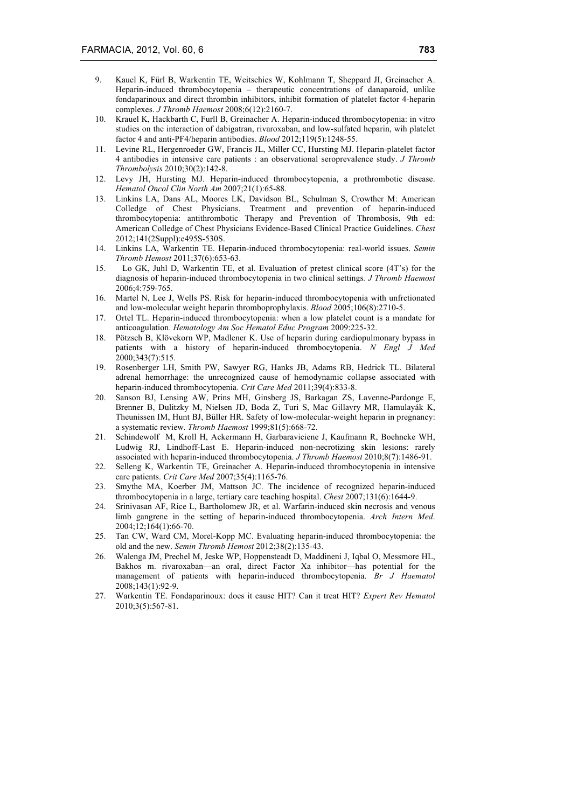- 9. Kauel K, Fűrl B, Warkentin TE, Weitschies W, Kohlmann T, Sheppard JI, Greinacher A. Heparin-induced thrombocytopenia – therapeutic concentrations of danaparoid, unlike fondaparinoux and direct thrombin inhibitors, inhibit formation of platelet factor 4-heparin complexes. *J Thromb Haemost* 2008;6(12):2160-7.
- 10. Krauel K, Hackbarth C, Furll B, Greinacher A. Heparin-induced thrombocytopenia: in vitro studies on the interaction of dabigatran, rivaroxaban, and low-sulfated heparin, wih platelet factor 4 and anti-PF4/heparin antibodies. *Blood* 2012;119(5):1248-55.
- 11. Levine RL, Hergenroeder GW, Francis JL, Miller CC, Hursting MJ. Heparin-platelet factor 4 antibodies in intensive care patients : an observational seroprevalence study. *J Thromb Thrombolysis* 2010;30(2):142-8.
- 12. Levy JH, Hursting MJ. Heparin-induced thrombocytopenia, a prothrombotic disease. *Hematol Oncol Clin North Am* 2007;21(1):65-88.
- 13. Linkins LA, Dans AL, Moores LK, Davidson BL, Schulman S, Crowther M: American Colledge of Chest Physicians. Treatment and prevention of heparin-induced thrombocytopenia: antithrombotic Therapy and Prevention of Thrombosis, 9th ed: American Colledge of Chest Physicians Evidence-Based Clinical Practice Guidelines. *Chest* 2012;141(2Suppl):e495S-530S.
- 14. Linkins LA, Warkentin TE. Heparin-induced thrombocytopenia: real-world issues. *Semin Thromb Hemost* 2011;37(6):653-63.
- 15. Lo GK, Juhl D, Warkentin TE, et al. Evaluation of pretest clinical score (4T's) for the diagnosis of heparin-induced thrombocytopenia in two clinical settings*. J Thromb Haemost* 2006;4:759-765.
- 16. Martel N, Lee J, Wells PS. Risk for heparin-induced thrombocytopenia with unfrctionated and low-molecular weight heparin thromboprophylaxis. *Blood* 2005;106(8):2710-5.
- 17. Ortel TL. Heparin-induced thrombocytopenia: when a low platelet count is a mandate for anticoagulation. *Hematology Am Soc Hematol Educ Program* 2009:225-32.
- 18. Pötzsch B, Klövekorn WP, Madlener K. Use of heparin during cardiopulmonary bypass in patients with a history of heparin-induced thrombocytopenia. *N Engl J Med* 2000;343(7):515.
- 19. Rosenberger LH, Smith PW, Sawyer RG, Hanks JB, Adams RB, Hedrick TL. Bilateral adrenal hemorrhage: the unrecognized cause of hemodynamic collapse associated with heparin-induced thrombocytopenia. *Crit Care Med* 2011;39(4):833-8.
- 20. Sanson BJ, Lensing AW, Prins MH, Ginsberg JS, Barkagan ZS, Lavenne-Pardonge E, Brenner B, Dulitzky M, Nielsen JD, Boda Z, Turi S, Mac Gillavry MR, Hamulayák K, Theunissen IM, Hunt BJ, Bűller HR. Safety of low-molecular-weight heparin in pregnancy: a systematic review. *Thromb Haemost* 1999;81(5):668-72.
- 21. Schindewolf M, Kroll H, Ackermann H, Garbaraviciene J, Kaufmann R, Boehncke WH, Ludwig RJ, Lindhoff-Last E. Heparin-induced non-necrotizing skin lesions: rarely associated with heparin-induced thrombocytopenia. *J Thromb Haemost* 2010;8(7):1486-91.
- 22. Selleng K, Warkentin TE, Greinacher A. Heparin-induced thrombocytopenia in intensive care patients. *Crit Care Med* 2007;35(4):1165-76.
- 23. Smythe MA, Koerber JM, Mattson JC. The incidence of recognized heparin-induced thrombocytopenia in a large, tertiary care teaching hospital. *Chest* 2007;131(6):1644-9.
- 24. Srinivasan AF, Rice L, Bartholomew JR, et al. Warfarin-induced skin necrosis and venous limb gangrene in the setting of heparin-induced thrombocytopenia. *Arch Intern Med*. 2004;12;164(1):66-70.
- 25. Tan CW, Ward CM, Morel-Kopp MC. Evaluating heparin-induced thrombocytopenia: the old and the new. *Semin Thromb Hemost* 2012;38(2):135-43.
- 26. Walenga JM, Prechel M, Jeske WP, Hoppensteadt D, Maddineni J, Iqbal O, Messmore HL, Bakhos m. rivaroxaban—an oral, direct Factor Xa inhibitor—has potential for the management of patients with heparin-induced thrombocytopenia. *Br J Haematol* 2008;143(1):92-9.
- 27. Warkentin TE. Fondaparinoux: does it cause HIT? Can it treat HIT? *Expert Rev Hematol* 2010;3(5):567-81.